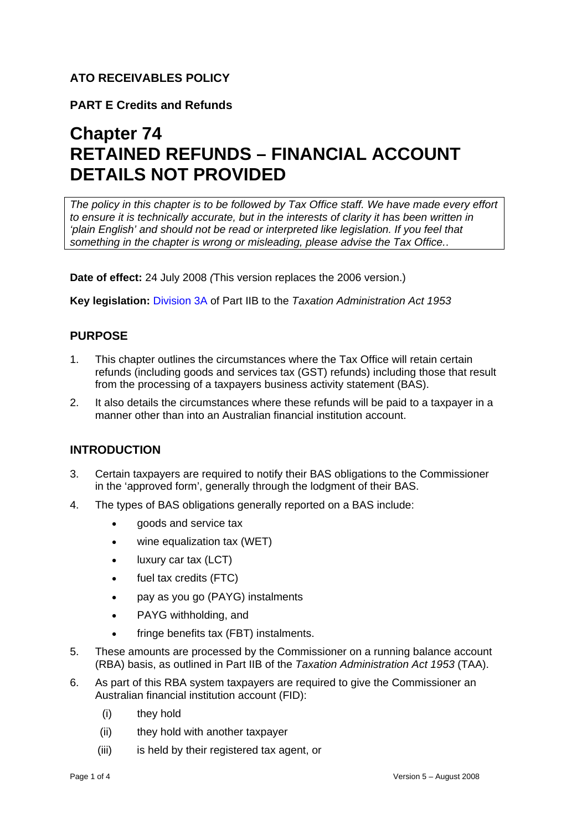## **ATO RECEIVABLES POLICY**

**PART E Credits and Refunds** 

# **Chapter 74 RETAINED REFUNDS – FINANCIAL ACCOUNT DETAILS NOT PROVIDED**

*The policy in this chapter is to be followed by Tax Office staff. We have made every effort to ensure it is technically accurate, but in the interests of clarity it has been written in 'plain English' and should not be read or interpreted like legislation. If you feel that something in the chapter is wrong or misleading, please advise the Tax Office.*.

**Date of effect:** 24 July 2008 *(*This version replaces the 2006 version.)

**Key legislation:** Division 3A of Part IIB to the *Taxation Administration Act 1953* 

# **PURPOSE**

- 1. This chapter outlines the circumstances where the Tax Office will retain certain refunds (including goods and services tax (GST) refunds) including those that result from the processing of a taxpayers business activity statement (BAS).
- 2. It also details the circumstances where these refunds will be paid to a taxpayer in a manner other than into an Australian financial institution account.

## **INTRODUCTION**

- 3. Certain taxpayers are required to notify their BAS obligations to the Commissioner in the 'approved form', generally through the lodgment of their BAS.
- 4. The types of BAS obligations generally reported on a BAS include:
	- goods and service tax
	- wine equalization tax (WET)
	- luxury car tax (LCT)
	- fuel tax credits (FTC)
	- pay as you go (PAYG) instalments
	- PAYG withholding, and
	- fringe benefits tax (FBT) instalments.
- 5. These amounts are processed by the Commissioner on a running balance account (RBA) basis, as outlined in Part IIB of the *Taxation Administration Act 1953* (TAA).
- 6. As part of this RBA system taxpayers are required to give the Commissioner an Australian financial institution account (FID):
	- (i) they hold
	- (ii) they hold with another taxpayer
	- (iii) is held by their registered tax agent, or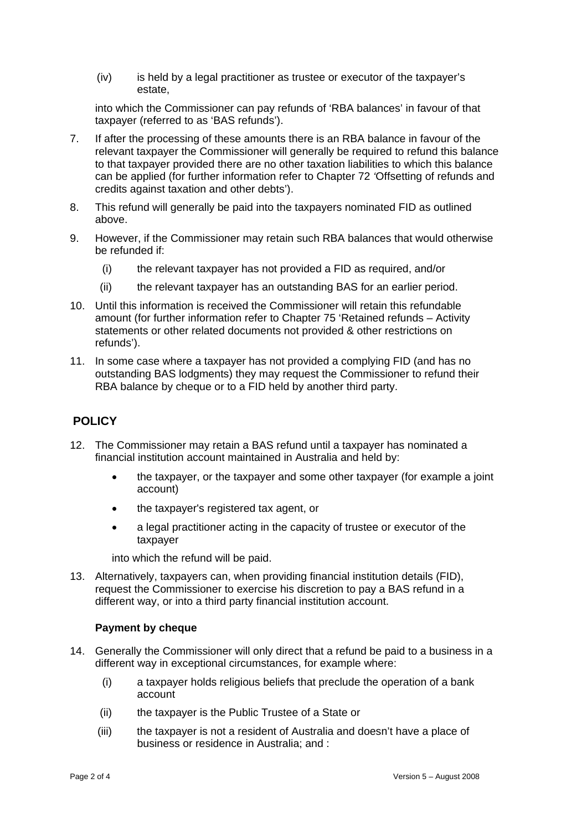(iv) is held by a legal practitioner as trustee or executor of the taxpayer's estate,

into which the Commissioner can pay refunds of 'RBA balances' in favour of that taxpayer (referred to as 'BAS refunds').

- 7. If after the processing of these amounts there is an RBA balance in favour of the relevant taxpayer the Commissioner will generally be required to refund this balance to that taxpayer provided there are no other taxation liabilities to which this balance can be applied (for further information refer to Chapter 72 *'*Offsetting of refunds and credits against taxation and other debts').
- 8. This refund will generally be paid into the taxpayers nominated FID as outlined above.
- 9. However, if the Commissioner may retain such RBA balances that would otherwise be refunded if:
	- (i) the relevant taxpayer has not provided a FID as required, and/or
	- (ii) the relevant taxpayer has an outstanding BAS for an earlier period.
- 10. Until this information is received the Commissioner will retain this refundable amount (for further information refer to Chapter 75 'Retained refunds – Activity statements or other related documents not provided & other restrictions on refunds').
- 11. In some case where a taxpayer has not provided a complying FID (and has no outstanding BAS lodgments) they may request the Commissioner to refund their RBA balance by cheque or to a FID held by another third party.

## **POLICY**

- 12. The Commissioner may retain a BAS refund until a taxpayer has nominated a financial institution account maintained in Australia and held by:
	- the taxpayer, or the taxpayer and some other taxpayer (for example a joint account)
	- the taxpayer's registered tax agent, or
	- a legal practitioner acting in the capacity of trustee or executor of the taxpayer

into which the refund will be paid.

13. Alternatively, taxpayers can, when providing financial institution details (FID), request the Commissioner to exercise his discretion to pay a BAS refund in a different way, or into a third party financial institution account.

#### **Payment by cheque**

- 14. Generally the Commissioner will only direct that a refund be paid to a business in a different way in exceptional circumstances, for example where:
	- (i) a taxpayer holds religious beliefs that preclude the operation of a bank account
	- (ii) the taxpayer is the Public Trustee of a State or
	- (iii) the taxpayer is not a resident of Australia and doesn't have a place of business or residence in Australia; and :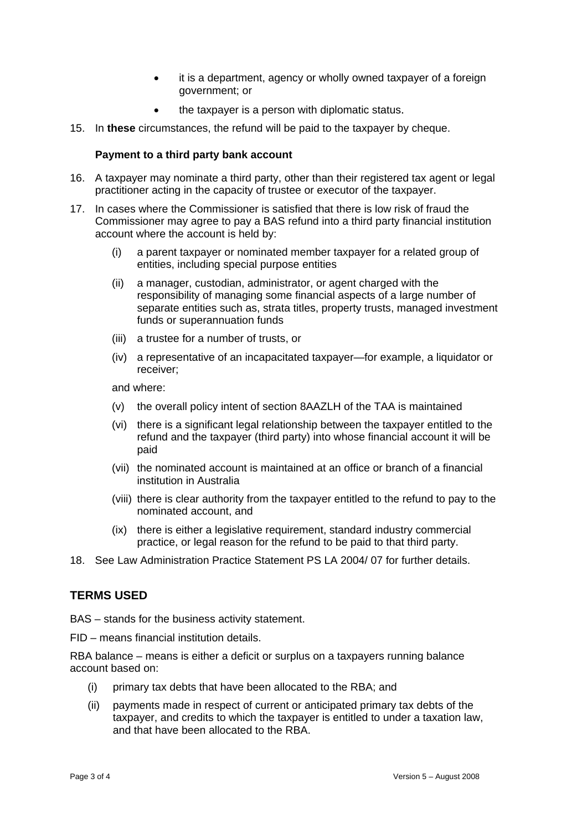- it is a department, agency or wholly owned taxpayer of a foreign government; or
- the taxpayer is a person with diplomatic status.
- 15. In **these** circumstances, the refund will be paid to the taxpayer by cheque.

#### **Payment to a third party bank account**

- 16. A taxpayer may nominate a third party, other than their registered tax agent or legal practitioner acting in the capacity of trustee or executor of the taxpayer.
- 17. In cases where the Commissioner is satisfied that there is low risk of fraud the Commissioner may agree to pay a BAS refund into a third party financial institution account where the account is held by:
	- (i) a parent taxpayer or nominated member taxpayer for a related group of entities, including special purpose entities
	- (ii) a manager, custodian, administrator, or agent charged with the responsibility of managing some financial aspects of a large number of separate entities such as, strata titles, property trusts, managed investment funds or superannuation funds
	- (iii) a trustee for a number of trusts, or
	- (iv) a representative of an incapacitated taxpayer—for example, a liquidator or receiver;

and where:

- (v) the overall policy intent of section 8AAZLH of the TAA is maintained
- (vi) there is a significant legal relationship between the taxpayer entitled to the refund and the taxpayer (third party) into whose financial account it will be paid
- (vii) the nominated account is maintained at an office or branch of a financial institution in Australia
- (viii) there is clear authority from the taxpayer entitled to the refund to pay to the nominated account, and
- (ix) there is either a legislative requirement, standard industry commercial practice, or legal reason for the refund to be paid to that third party.
- 18. See Law Administration Practice Statement PS LA 2004/ 07 for further details.

#### **TERMS USED**

BAS – stands for the business activity statement.

FID – means financial institution details.

RBA balance – means is either a deficit or surplus on a taxpayers running balance account based on:

- (i) primary tax debts that have been allocated to the RBA; and
- (ii) payments made in respect of current or anticipated primary tax debts of the taxpayer, and credits to which the taxpayer is entitled to under a taxation law, and that have been allocated to the RBA.